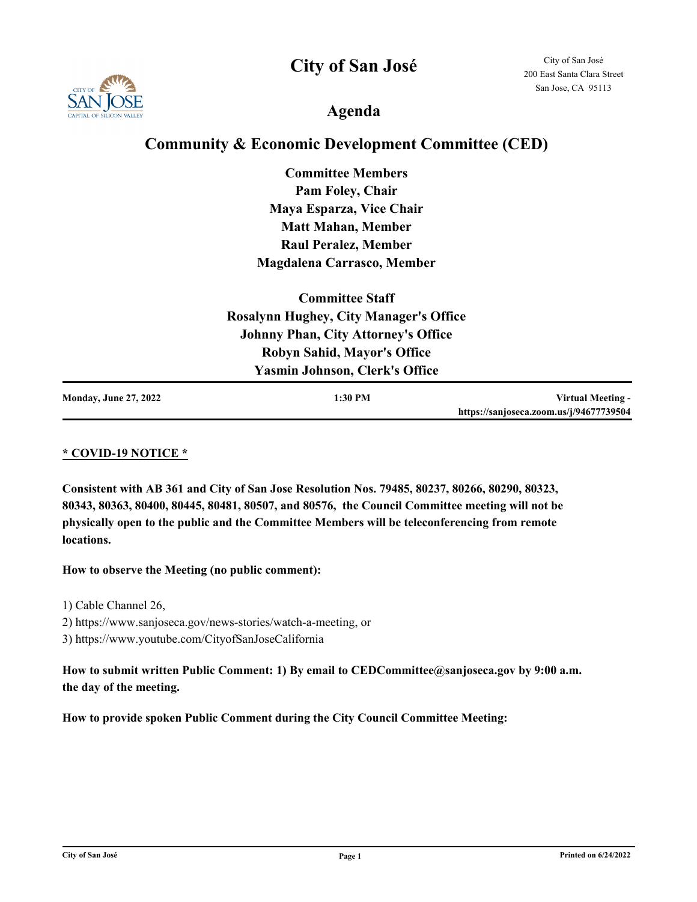**City of San José**



City of San José 200 East Santa Clara Street San Jose, CA 95113

**Agenda**

### **Community & Economic Development Committee (CED)**

**Committee Members Pam Foley, Chair Maya Esparza, Vice Chair Matt Mahan, Member Raul Peralez, Member Magdalena Carrasco, Member**

| <b>Committee Staff</b>                        |                                            |                                         |  |
|-----------------------------------------------|--------------------------------------------|-----------------------------------------|--|
| <b>Rosalynn Hughey, City Manager's Office</b> |                                            |                                         |  |
|                                               | <b>Johnny Phan, City Attorney's Office</b> |                                         |  |
|                                               | <b>Robyn Sahid, Mayor's Office</b>         |                                         |  |
|                                               | <b>Yasmin Johnson, Clerk's Office</b>      |                                         |  |
| <b>Monday, June 27, 2022</b>                  | 1:30 PM                                    | Virtual Meeting -                       |  |
|                                               |                                            | https://sanjoseca.zoom.us/j/94677739504 |  |

#### **\* COVID-19 NOTICE \***

**Consistent with AB 361 and City of San Jose Resolution Nos. 79485, 80237, 80266, 80290, 80323, 80343, 80363, 80400, 80445, 80481, 80507, and 80576, the Council Committee meeting will not be physically open to the public and the Committee Members will be teleconferencing from remote locations.**

#### **How to observe the Meeting (no public comment):**

- 1) Cable Channel 26,
- 2) https://www.sanjoseca.gov/news-stories/watch-a-meeting, or
- 3) https://www.youtube.com/CityofSanJoseCalifornia

### How to submit written Public Comment: 1) By email to CEDCommittee@sanjoseca.gov by 9:00 a.m. **the day of the meeting.**

**How to provide spoken Public Comment during the City Council Committee Meeting:**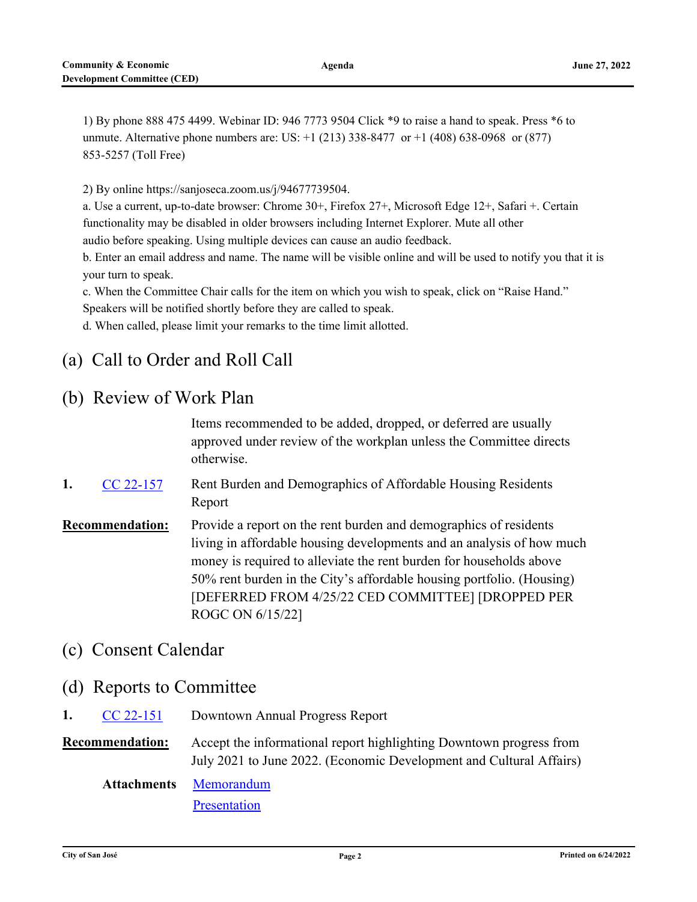1) By phone 888 475 4499. Webinar ID: 946 7773 9504 Click \*9 to raise a hand to speak. Press \*6 to unmute. Alternative phone numbers are: US: +1 (213) 338-8477 or +1 (408) 638-0968 or (877) 853-5257 (Toll Free)

2) By online https://sanjoseca.zoom.us/j/94677739504.

a. Use a current, up-to-date browser: Chrome 30+, Firefox 27+, Microsoft Edge 12+, Safari +. Certain functionality may be disabled in older browsers including Internet Explorer. Mute all other audio before speaking. Using multiple devices can cause an audio feedback.

b. Enter an email address and name. The name will be visible online and will be used to notify you that it is your turn to speak.

c. When the Committee Chair calls for the item on which you wish to speak, click on "Raise Hand." Speakers will be notified shortly before they are called to speak.

d. When called, please limit your remarks to the time limit allotted.

# (a) Call to Order and Roll Call

## (b) Review of Work Plan

Items recommended to be added, dropped, or deferred are usually approved under review of the workplan unless the Committee directs otherwise.

- Rent Burden and Demographics of Affordable Housing Residents Report **1.** [CC 22-157](http://sanjose.legistar.com/gateway.aspx?m=l&id=/matter.aspx?key=11013)
- **Recommendation:** Provide a report on the rent burden and demographics of residents living in affordable housing developments and an analysis of how much money is required to alleviate the rent burden for households above 50% rent burden in the City's affordable housing portfolio. (Housing) [DEFERRED FROM 4/25/22 CED COMMITTEE] [DROPPED PER ROGC ON 6/15/22]

## (c) Consent Calendar

- (d) Reports to Committee
- **1.** [CC 22-151](http://sanjose.legistar.com/gateway.aspx?m=l&id=/matter.aspx?key=11007) Downtown Annual Progress Report

**Recommendation:** Accept the informational report highlighting Downtown progress from July 2021 to June 2022. (Economic Development and Cultural Affairs)

[Memorandum](http://sanjose.legistar.com/gateway.aspx?M=F&ID=d599cfb9-7bfa-4755-bea4-f54be9ac119a.pdf) **Attachments**

**[Presentation](http://sanjose.legistar.com/gateway.aspx?M=F&ID=13365694-5761-4c60-bb25-9c4eb58ecf3c.pdf)**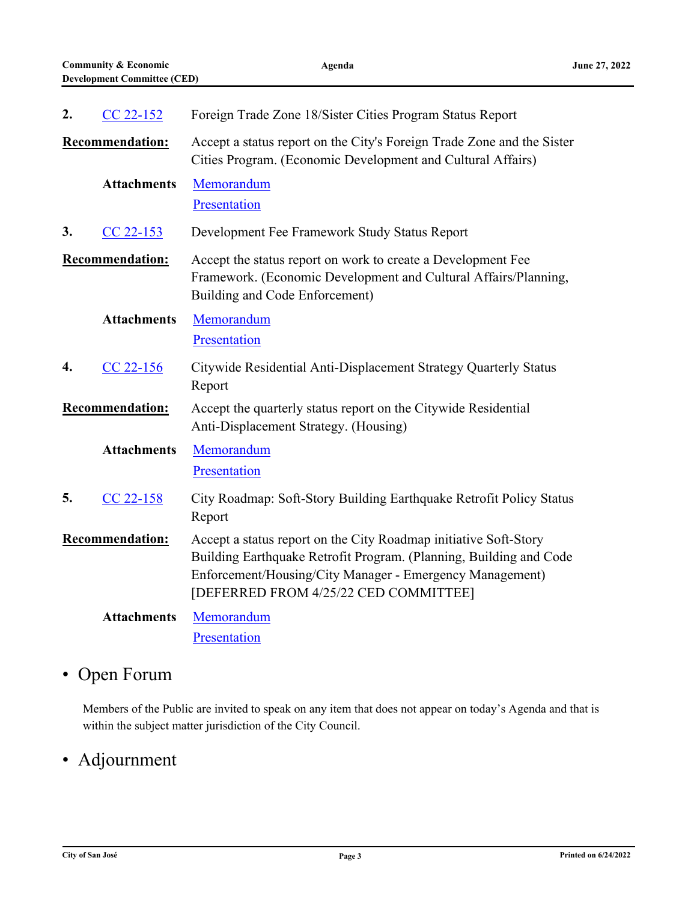| 2.                     | $CC 22-152$            | Foreign Trade Zone 18/Sister Cities Program Status Report                                                                                                                                                                                   |
|------------------------|------------------------|---------------------------------------------------------------------------------------------------------------------------------------------------------------------------------------------------------------------------------------------|
|                        | <b>Recommendation:</b> | Accept a status report on the City's Foreign Trade Zone and the Sister<br>Cities Program. (Economic Development and Cultural Affairs)                                                                                                       |
|                        | <b>Attachments</b>     | Memorandum<br>Presentation                                                                                                                                                                                                                  |
| 3.                     | CC 22-153              | Development Fee Framework Study Status Report                                                                                                                                                                                               |
|                        | <b>Recommendation:</b> | Accept the status report on work to create a Development Fee<br>Framework. (Economic Development and Cultural Affairs/Planning,<br>Building and Code Enforcement)                                                                           |
|                        | <b>Attachments</b>     | Memorandum<br>Presentation                                                                                                                                                                                                                  |
| 4.                     | $CC$ 22-156            | Citywide Residential Anti-Displacement Strategy Quarterly Status<br>Report                                                                                                                                                                  |
| <b>Recommendation:</b> |                        | Accept the quarterly status report on the Citywide Residential<br>Anti-Displacement Strategy. (Housing)                                                                                                                                     |
|                        | <b>Attachments</b>     | Memorandum<br>Presentation                                                                                                                                                                                                                  |
| 5.                     | CC 22-158              | City Roadmap: Soft-Story Building Earthquake Retrofit Policy Status<br>Report                                                                                                                                                               |
|                        | <b>Recommendation:</b> | Accept a status report on the City Roadmap initiative Soft-Story<br>Building Earthquake Retrofit Program. (Planning, Building and Code<br>Enforcement/Housing/City Manager - Emergency Management)<br>[DEFERRED FROM 4/25/22 CED COMMITTEE] |
|                        | <b>Attachments</b>     | Memorandum<br>Presentation                                                                                                                                                                                                                  |

# • Open Forum

Members of the Public are invited to speak on any item that does not appear on today's Agenda and that is within the subject matter jurisdiction of the City Council.

# • Adjournment